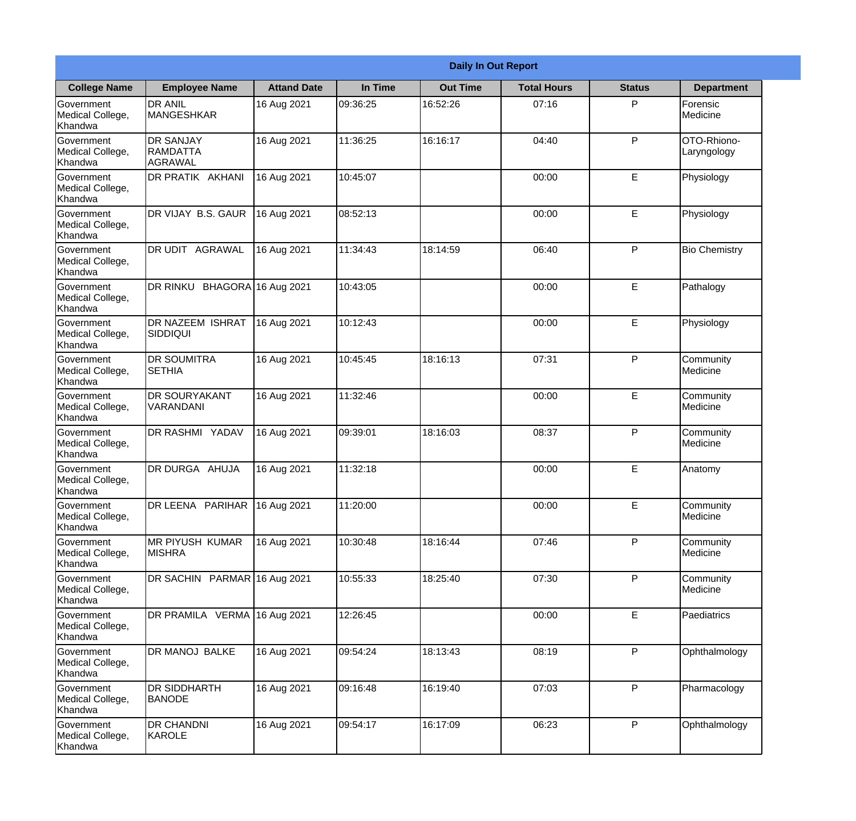| <b>Daily In Out Report</b>                       |                                                |                    |          |                 |                    |               |                            |
|--------------------------------------------------|------------------------------------------------|--------------------|----------|-----------------|--------------------|---------------|----------------------------|
| <b>College Name</b>                              | <b>Employee Name</b>                           | <b>Attand Date</b> | In Time  | <b>Out Time</b> | <b>Total Hours</b> | <b>Status</b> | <b>Department</b>          |
| Government<br>Medical College,<br>Khandwa        | <b>DR ANIL</b><br><b>MANGESHKAR</b>            | 16 Aug 2021        | 09:36:25 | 16:52:26        | 07:16              | P             | Forensic<br>Medicine       |
| Government<br>Medical College,<br>Khandwa        | <b>DR SANJAY</b><br><b>RAMDATTA</b><br>AGRAWAL | 16 Aug 2021        | 11:36:25 | 16:16:17        | 04:40              | P             | OTO-Rhiono-<br>Laryngology |
| <b>Government</b><br>Medical College,<br>Khandwa | DR PRATIK AKHANI                               | 16 Aug 2021        | 10:45:07 |                 | 00:00              | E             | Physiology                 |
| <b>Government</b><br>Medical College,<br>Khandwa | DR VIJAY B.S. GAUR                             | 16 Aug 2021        | 08:52:13 |                 | 00:00              | E             | Physiology                 |
| Government<br>Medical College,<br>Khandwa        | DR UDIT AGRAWAL                                | 16 Aug 2021        | 11:34:43 | 18:14:59        | 06:40              | P             | <b>Bio Chemistry</b>       |
| Government<br>Medical College,<br>Khandwa        | DR RINKU BHAGORA 16 Aug 2021                   |                    | 10:43:05 |                 | 00:00              | E             | Pathalogy                  |
| <b>Government</b><br>Medical College,<br>Khandwa | DR NAZEEM ISHRAT<br>SIDDIQUI                   | 16 Aug 2021        | 10:12:43 |                 | 00:00              | E             | Physiology                 |
| <b>Government</b><br>Medical College,<br>Khandwa | <b>DR SOUMITRA</b><br><b>SETHIA</b>            | 16 Aug 2021        | 10:45:45 | 18:16:13        | 07:31              | P             | Community<br>Medicine      |
| Government<br>Medical College,<br>Khandwa        | <b>DR SOURYAKANT</b><br>VARANDANI              | 16 Aug 2021        | 11:32:46 |                 | 00:00              | E             | Community<br>Medicine      |
| Government<br>Medical College,<br>Khandwa        | <b>DR RASHMI YADAV</b>                         | 16 Aug 2021        | 09:39:01 | 18:16:03        | 08:37              | P             | Community<br>Medicine      |
| Government<br>Medical College,<br>Khandwa        | DR DURGA AHUJA                                 | 16 Aug 2021        | 11:32:18 |                 | 00:00              | E             | Anatomy                    |
| Government<br>Medical College,<br>Khandwa        | DR LEENA PARIHAR                               | 16 Aug 2021        | 11:20:00 |                 | 00:00              | E             | Community<br>Medicine      |
| Government<br>Medical College,<br>Khandwa        | MR PIYUSH KUMAR<br><b>MISHRA</b>               | 16 Aug 2021        | 10:30:48 | 18:16:44        | 07:46              | P             | Community<br>Medicine      |
| Government<br>Medical College,<br>Khandwa        | DR SACHIN PARMAR 16 Aug 2021                   |                    | 10:55:33 | 18:25:40        | 07:30              | P             | Community<br>Medicine      |
| <b>Government</b><br>Medical College,<br>Khandwa | DR PRAMILA VERMA 16 Aug 2021                   |                    | 12:26:45 |                 | 00:00              | E             | Paediatrics                |
| Government<br>Medical College,<br>Khandwa        | DR MANOJ BALKE                                 | 16 Aug 2021        | 09:54:24 | 18:13:43        | 08:19              | P             | Ophthalmology              |
| Government<br>Medical College,<br>Khandwa        | <b>DR SIDDHARTH</b><br><b>BANODE</b>           | 16 Aug 2021        | 09:16:48 | 16:19:40        | 07:03              | P             | Pharmacology               |
| Government<br>Medical College,<br>Khandwa        | <b>DR CHANDNI</b><br>KAROLE                    | 16 Aug 2021        | 09:54:17 | 16:17:09        | 06:23              | P             | Ophthalmology              |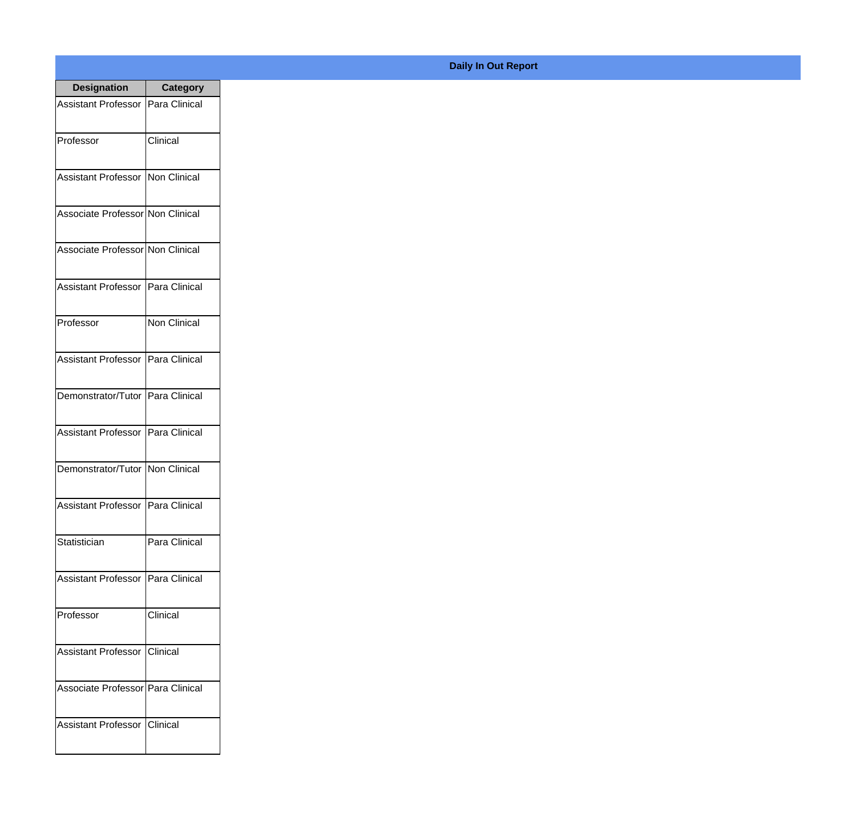| <b>Designation</b>                  | <b>Category</b> |
|-------------------------------------|-----------------|
| Assistant Professor   Para Clinical |                 |
| Professor                           | Clinical        |
| Assistant Professor Non Clinical    |                 |
| Associate Professor Non Clinical    |                 |
| Associate Professor Non Clinical    |                 |
| Assistant Professor   Para Clinical |                 |
| Professor                           | Non Clinical    |
| Assistant Professor   Para Clinical |                 |
| Demonstrator/Tutor   Para Clinical  |                 |
| Assistant Professor   Para Clinical |                 |
| Demonstrator/Tutor   Non Clinical   |                 |
| Assistant Professor   Para Clinical |                 |
| Statistician                        | Para Clinical   |
| Assistant Professor   Para Clinical |                 |
| Professor                           | Clinical        |
| Assistant Professor                 | Clinical        |
| Associate Professor Para Clinical   |                 |
| <b>Assistant Professor</b>          | <b>Clinical</b> |

## **Daily In Out Report**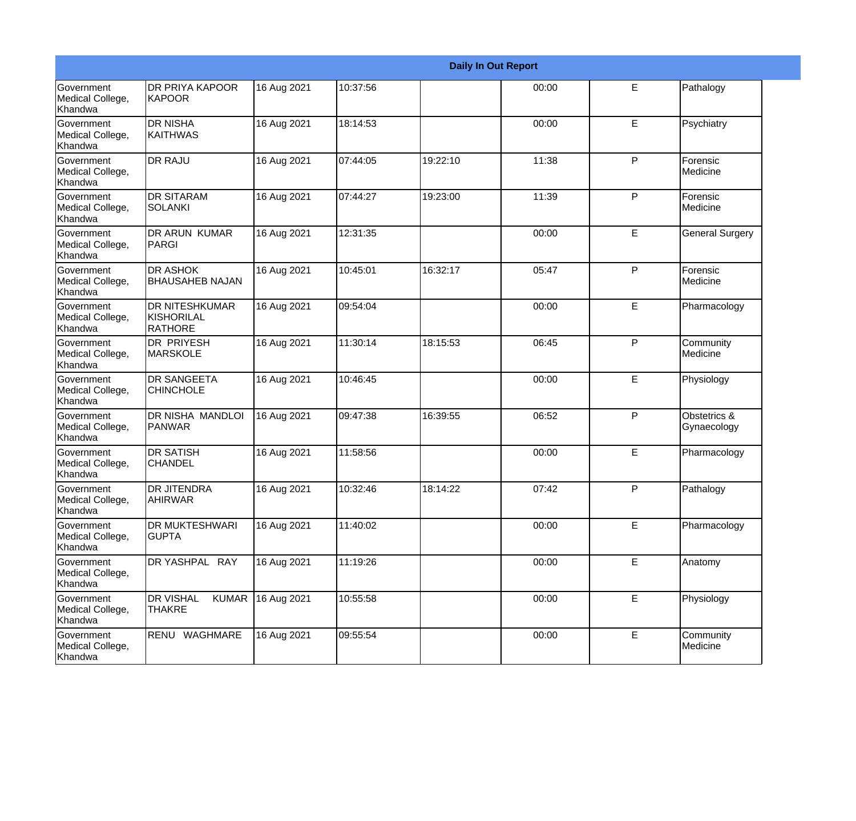|                                                  |                                                   |             |          |          | <b>Daily In Out Report</b> |   |                             |
|--------------------------------------------------|---------------------------------------------------|-------------|----------|----------|----------------------------|---|-----------------------------|
| Government<br>Medical College,<br>Khandwa        | <b>DR PRIYA KAPOOR</b><br>KAPOOR                  | 16 Aug 2021 | 10:37:56 |          | 00:00                      | E | Pathalogy                   |
| <b>Government</b><br>Medical College,<br>Khandwa | <b>DR NISHA</b><br><b>KAITHWAS</b>                | 16 Aug 2021 | 18:14:53 |          | 00:00                      | E | Psychiatry                  |
| Government<br>Medical College,<br>Khandwa        | <b>DR RAJU</b>                                    | 16 Aug 2021 | 07:44:05 | 19:22:10 | 11:38                      | P | Forensic<br>Medicine        |
| Government<br>Medical College,<br>Khandwa        | <b>DR SITARAM</b><br><b>SOLANKI</b>               | 16 Aug 2021 | 07:44:27 | 19:23:00 | 11:39                      | P | Forensic<br>Medicine        |
| <b>Government</b><br>Medical College,<br>Khandwa | <b>DR ARUN KUMAR</b><br>PARGI                     | 16 Aug 2021 | 12:31:35 |          | 00:00                      | E | <b>General Surgery</b>      |
| Government<br>Medical College,<br>Khandwa        | <b>DR ASHOK</b><br><b>BHAUSAHEB NAJAN</b>         | 16 Aug 2021 | 10:45:01 | 16:32:17 | 05:47                      | P | Forensic<br>Medicine        |
| <b>Government</b><br>Medical College,<br>Khandwa | <b>DR NITESHKUMAR</b><br>KISHORILAL<br>RATHORE    | 16 Aug 2021 | 09:54:04 |          | 00:00                      | E | Pharmacology                |
| Government<br>Medical College,<br>Khandwa        | <b>DR PRIYESH</b><br>MARSKOLE                     | 16 Aug 2021 | 11:30:14 | 18:15:53 | 06:45                      | P | Community<br>Medicine       |
| Government<br>Medical College,<br>Khandwa        | <b>DR SANGEETA</b><br><b>CHINCHOLE</b>            | 16 Aug 2021 | 10:46:45 |          | 00:00                      | E | Physiology                  |
| <b>Government</b><br>Medical College,<br>Khandwa | DR NISHA MANDLOI<br>PANWAR                        | 16 Aug 2021 | 09:47:38 | 16:39:55 | 06:52                      | P | Obstetrics &<br>Gynaecology |
| <b>Government</b><br>Medical College,<br>Khandwa | <b>DR SATISH</b><br><b>CHANDEL</b>                | 16 Aug 2021 | 11:58:56 |          | 00:00                      | E | Pharmacology                |
| Government<br>Medical College,<br>Khandwa        | <b>DR JITENDRA</b><br>AHIRWAR                     | 16 Aug 2021 | 10:32:46 | 18:14:22 | 07:42                      | P | Pathalogy                   |
| Government<br>Medical College,<br>Khandwa        | DR MUKTESHWARI<br><b>GUPTA</b>                    | 16 Aug 2021 | 11:40:02 |          | 00:00                      | E | Pharmacology                |
| Government<br>Medical College,<br>Khandwa        | DR YASHPAL RAY                                    | 16 Aug 2021 | 11:19:26 |          | 00:00                      | E | Anatomy                     |
| Government<br>Medical College,<br>Khandwa        | <b>DR VISHAL</b><br><b>KUMAR</b><br><b>THAKRE</b> | 16 Aug 2021 | 10:55:58 |          | 00:00                      | E | Physiology                  |
| Government<br>Medical College,<br>Khandwa        | RENU WAGHMARE                                     | 16 Aug 2021 | 09:55:54 |          | 00:00                      | E | Community<br>Medicine       |